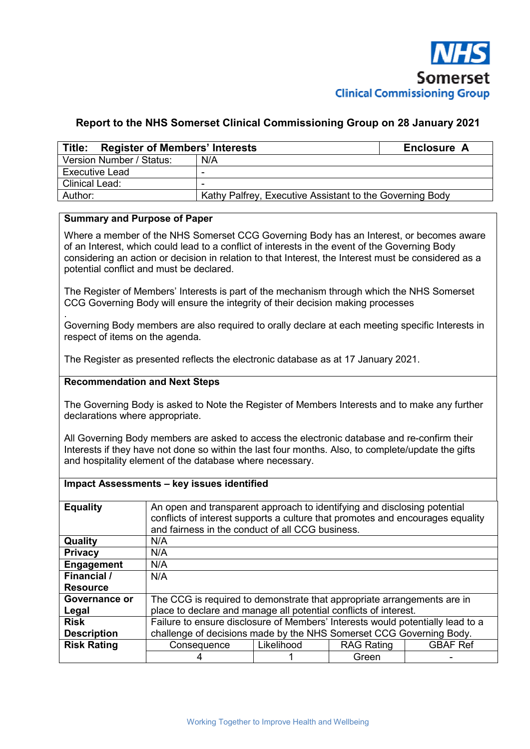

## **Report to the NHS Somerset Clinical Commissioning Group on 28 January 2021**

| Title: Register of Members' Interests | Enclosure A                                              |  |
|---------------------------------------|----------------------------------------------------------|--|
| Version Number / Status:              | N/A                                                      |  |
| Executive Lead                        |                                                          |  |
| Clinical Lead:                        |                                                          |  |
| Author:                               | Kathy Palfrey, Executive Assistant to the Governing Body |  |

### **Summary and Purpose of Paper**

Where a member of the NHS Somerset CCG Governing Body has an Interest, or becomes aware of an Interest, which could lead to a conflict of interests in the event of the Governing Body considering an action or decision in relation to that Interest, the Interest must be considered as a potential conflict and must be declared.

The Register of Members' Interests is part of the mechanism through which the NHS Somerset CCG Governing Body will ensure the integrity of their decision making processes

. Governing Body members are also required to orally declare at each meeting specific Interests in respect of items on the agenda.

The Register as presented reflects the electronic database as at 17 January 2021.

### **Recommendation and Next Steps**

The Governing Body is asked to Note the Register of Members Interests and to make any further declarations where appropriate.

All Governing Body members are asked to access the electronic database and re-confirm their Interests if they have not done so within the last four months. Also, to complete/update the gifts and hospitality element of the database where necessary.

#### **Impact Assessments – key issues identified**

| <b>Equality</b>    |                                                                                | An open and transparent approach to identifying and disclosing potential<br>conflicts of interest supports a culture that promotes and encourages equality<br>and fairness in the conduct of all CCG business. |                   |                 |  |  |  |  |  |  |
|--------------------|--------------------------------------------------------------------------------|----------------------------------------------------------------------------------------------------------------------------------------------------------------------------------------------------------------|-------------------|-----------------|--|--|--|--|--|--|
| Quality            | N/A                                                                            |                                                                                                                                                                                                                |                   |                 |  |  |  |  |  |  |
| <b>Privacy</b>     | N/A                                                                            |                                                                                                                                                                                                                |                   |                 |  |  |  |  |  |  |
| <b>Engagement</b>  | N/A                                                                            |                                                                                                                                                                                                                |                   |                 |  |  |  |  |  |  |
| Financial /        | N/A                                                                            |                                                                                                                                                                                                                |                   |                 |  |  |  |  |  |  |
| <b>Resource</b>    |                                                                                |                                                                                                                                                                                                                |                   |                 |  |  |  |  |  |  |
| Governance or      | The CCG is required to demonstrate that appropriate arrangements are in        |                                                                                                                                                                                                                |                   |                 |  |  |  |  |  |  |
| Legal              | place to declare and manage all potential conflicts of interest.               |                                                                                                                                                                                                                |                   |                 |  |  |  |  |  |  |
| <b>Risk</b>        | Failure to ensure disclosure of Members' Interests would potentially lead to a |                                                                                                                                                                                                                |                   |                 |  |  |  |  |  |  |
| <b>Description</b> | challenge of decisions made by the NHS Somerset CCG Governing Body.            |                                                                                                                                                                                                                |                   |                 |  |  |  |  |  |  |
| <b>Risk Rating</b> | Consequence                                                                    | Likelihood                                                                                                                                                                                                     | <b>RAG Rating</b> | <b>GBAF Ref</b> |  |  |  |  |  |  |
|                    |                                                                                |                                                                                                                                                                                                                | Green             |                 |  |  |  |  |  |  |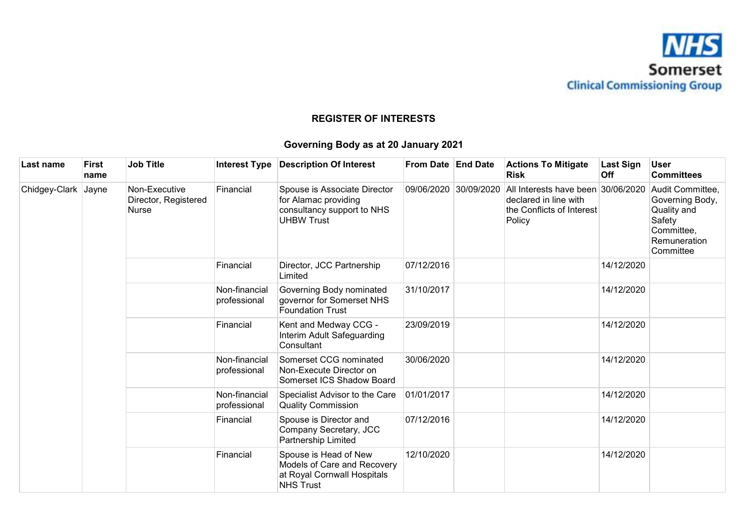

# **REGISTER OF INTERESTS**

# **Governing Body as at 20 January 2021**

| Last name     | <b>First</b><br>name | <b>Job Title</b>                                      |                               | Interest Type   Description Of Interest                                                                 | From Date End Date                                          | <b>Actions To Mitigate</b><br>Risk                                                                 | <b>Last Sign</b><br><b>Off</b> | <b>User</b><br><b>Committees</b>                                                                        |
|---------------|----------------------|-------------------------------------------------------|-------------------------------|---------------------------------------------------------------------------------------------------------|-------------------------------------------------------------|----------------------------------------------------------------------------------------------------|--------------------------------|---------------------------------------------------------------------------------------------------------|
| Chidgey-Clark | Jayne                | Non-Executive<br>Director, Registered<br><b>Nurse</b> | Financial                     | Spouse is Associate Director<br>for Alamac providing<br>consultancy support to NHS<br><b>UHBW Trust</b> | 09/06/2020 30/09/2020                                       | All Interests have been 30/06/2020<br>declared in line with<br>the Conflicts of Interest<br>Policy |                                | Audit Committee,<br>Governing Body,<br>Quality and<br>Safety<br>Committee,<br>Remuneration<br>Committee |
|               |                      |                                                       | Financial                     | Director, JCC Partnership<br>Limited                                                                    | 07/12/2016                                                  |                                                                                                    | 14/12/2020                     |                                                                                                         |
|               |                      |                                                       | Non-financial<br>professional | Governing Body nominated<br>governor for Somerset NHS<br><b>Foundation Trust</b>                        | 31/10/2017                                                  |                                                                                                    | 14/12/2020                     |                                                                                                         |
|               |                      |                                                       | Financial                     | Kent and Medway CCG -<br>Interim Adult Safeguarding<br>Consultant                                       | 23/09/2019                                                  |                                                                                                    | 14/12/2020                     |                                                                                                         |
|               |                      |                                                       | Non-financial<br>professional | Somerset CCG nominated<br>Non-Execute Director on<br>Somerset ICS Shadow Board                          | 30/06/2020                                                  |                                                                                                    | 14/12/2020                     |                                                                                                         |
|               |                      |                                                       |                               | Non-financial<br>professional                                                                           | Specialist Advisor to the Care<br><b>Quality Commission</b> | 01/01/2017                                                                                         |                                | 14/12/2020                                                                                              |
|               |                      |                                                       | Financial                     | Spouse is Director and<br>Company Secretary, JCC<br>Partnership Limited                                 | 07/12/2016                                                  |                                                                                                    | 14/12/2020                     |                                                                                                         |
|               |                      |                                                       | Financial                     | Spouse is Head of New<br>Models of Care and Recovery<br>at Royal Cornwall Hospitals<br><b>NHS Trust</b> | 12/10/2020                                                  |                                                                                                    | 14/12/2020                     |                                                                                                         |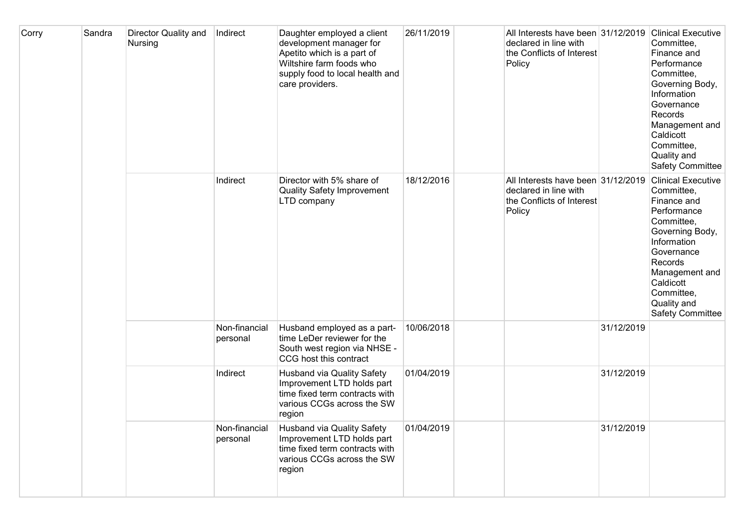| Corry | Sandra | <b>Director Quality and</b><br>Nursing | Indirect                  | Daughter employed a client<br>development manager for<br>Apetito which is a part of<br>Wiltshire farm foods who<br>supply food to local health and<br>care providers. | 26/11/2019 | All Interests have been 31/12/2019<br>declared in line with<br>the Conflicts of Interest<br>Policy |            | <b>Clinical Executive</b><br>Committee,<br>Finance and<br>Performance<br>Committee,<br>Governing Body,<br>Information<br>Governance<br>Records<br>Management and<br>Caldicott<br>Committee,<br>Quality and<br>Safety Committee        |
|-------|--------|----------------------------------------|---------------------------|-----------------------------------------------------------------------------------------------------------------------------------------------------------------------|------------|----------------------------------------------------------------------------------------------------|------------|---------------------------------------------------------------------------------------------------------------------------------------------------------------------------------------------------------------------------------------|
|       |        |                                        | Indirect                  | Director with 5% share of<br><b>Quality Safety Improvement</b><br>LTD company                                                                                         | 18/12/2016 | All Interests have been 31/12/2019<br>declared in line with<br>the Conflicts of Interest<br>Policy |            | <b>Clinical Executive</b><br>Committee,<br>Finance and<br>Performance<br>Committee,<br>Governing Body,<br>Information<br>Governance<br>Records<br>Management and<br>Caldicott<br>Committee,<br>Quality and<br><b>Safety Committee</b> |
|       |        |                                        | Non-financial<br>personal | Husband employed as a part-<br>time LeDer reviewer for the<br>South west region via NHSE -<br>CCG host this contract                                                  | 10/06/2018 |                                                                                                    | 31/12/2019 |                                                                                                                                                                                                                                       |
|       |        |                                        | Indirect                  | <b>Husband via Quality Safety</b><br>Improvement LTD holds part<br>time fixed term contracts with<br>various CCGs across the SW<br>region                             | 01/04/2019 |                                                                                                    | 31/12/2019 |                                                                                                                                                                                                                                       |
|       |        |                                        | Non-financial<br>personal | <b>Husband via Quality Safety</b><br>Improvement LTD holds part<br>time fixed term contracts with<br>various CCGs across the SW<br>region                             | 01/04/2019 |                                                                                                    | 31/12/2019 |                                                                                                                                                                                                                                       |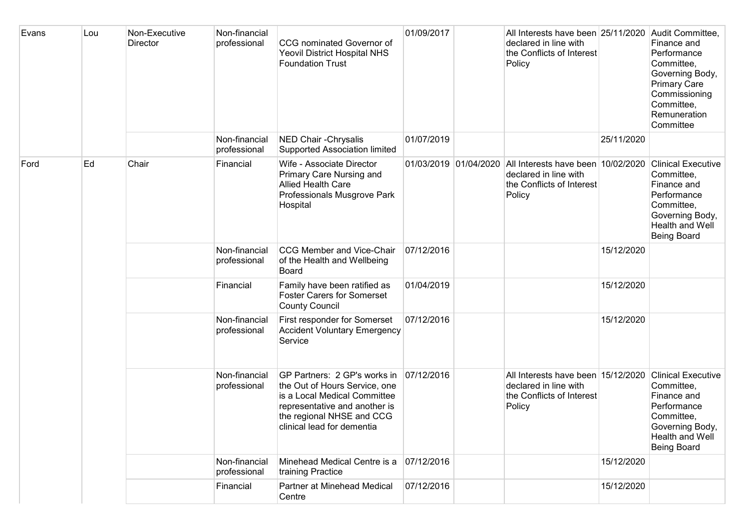| Evans | Lou | Non-Executive<br>Director | Non-financial<br>professional | <b>CCG</b> nominated Governor of<br><b>Yeovil District Hospital NHS</b><br><b>Foundation Trust</b>                                                                                        | 01/09/2017 | All Interests have been 25/11/2020<br>declared in line with<br>the Conflicts of Interest<br>Policy                       |            | Audit Committee,<br>Finance and<br>Performance<br>Committee,<br>Governing Body,<br><b>Primary Care</b><br>Commissioning<br>Committee,<br>Remuneration<br>Committee |
|-------|-----|---------------------------|-------------------------------|-------------------------------------------------------------------------------------------------------------------------------------------------------------------------------------------|------------|--------------------------------------------------------------------------------------------------------------------------|------------|--------------------------------------------------------------------------------------------------------------------------------------------------------------------|
|       |     |                           | Non-financial<br>professional | NED Chair - Chrysalis<br><b>Supported Association limited</b>                                                                                                                             | 01/07/2019 |                                                                                                                          | 25/11/2020 |                                                                                                                                                                    |
| Ford  | Ed  | Chair                     | Financial                     | Wife - Associate Director<br>Primary Care Nursing and<br><b>Allied Health Care</b><br>Professionals Musgrove Park<br>Hospital                                                             |            | 01/03/2019 01/04/2020 All Interests have been 10/02/2020<br>declared in line with<br>the Conflicts of Interest<br>Policy |            | <b>Clinical Executive</b><br>Committee,<br>Finance and<br>Performance<br>Committee,<br>Governing Body,<br>Health and Well<br><b>Being Board</b>                    |
|       |     |                           | Non-financial<br>professional | <b>CCG Member and Vice-Chair</b><br>of the Health and Wellbeing<br>Board                                                                                                                  | 07/12/2016 |                                                                                                                          | 15/12/2020 |                                                                                                                                                                    |
|       |     |                           | Financial                     | Family have been ratified as<br><b>Foster Carers for Somerset</b><br><b>County Council</b>                                                                                                | 01/04/2019 |                                                                                                                          | 15/12/2020 |                                                                                                                                                                    |
|       |     |                           | Non-financial<br>professional | First responder for Somerset<br><b>Accident Voluntary Emergency</b><br>Service                                                                                                            | 07/12/2016 |                                                                                                                          | 15/12/2020 |                                                                                                                                                                    |
|       |     |                           | Non-financial<br>professional | GP Partners: 2 GP's works in<br>the Out of Hours Service, one<br>is a Local Medical Committee<br>representative and another is<br>the regional NHSE and CCG<br>clinical lead for dementia | 07/12/2016 | All Interests have been 15/12/2020<br>declared in line with<br>the Conflicts of Interest<br>Policy                       |            | <b>Clinical Executive</b><br>Committee,<br>Finance and<br>Performance<br>Committee,<br>Governing Body,<br>Health and Well<br><b>Being Board</b>                    |
|       |     |                           | Non-financial<br>professional | Minehead Medical Centre is a<br>training Practice                                                                                                                                         | 07/12/2016 |                                                                                                                          | 15/12/2020 |                                                                                                                                                                    |
|       |     |                           | Financial                     | Partner at Minehead Medical<br>Centre                                                                                                                                                     | 07/12/2016 |                                                                                                                          | 15/12/2020 |                                                                                                                                                                    |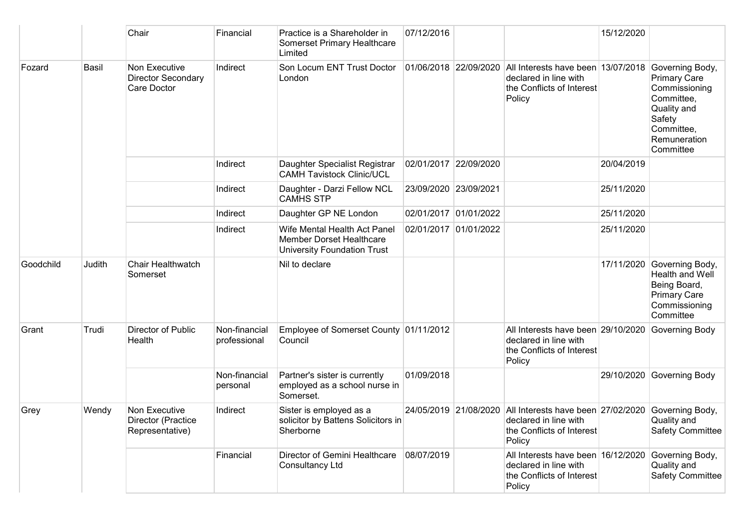|                 |                                                           | Chair                                                  | Financial                            | Practice is a Shareholder in<br><b>Somerset Primary Healthcare</b><br>Limited                         | 07/12/2016            |                                                                                                    |                                                                                                    | 15/12/2020                                                                                                                                |                                                                                                                    |
|-----------------|-----------------------------------------------------------|--------------------------------------------------------|--------------------------------------|-------------------------------------------------------------------------------------------------------|-----------------------|----------------------------------------------------------------------------------------------------|----------------------------------------------------------------------------------------------------|-------------------------------------------------------------------------------------------------------------------------------------------|--------------------------------------------------------------------------------------------------------------------|
| Fozard<br>Basil | Non Executive<br><b>Director Secondary</b><br>Care Doctor | Indirect                                               | Son Locum ENT Trust Doctor<br>London |                                                                                                       | 01/06/2018 22/09/2020 | All Interests have been 13/07/2018<br>declared in line with<br>the Conflicts of Interest<br>Policy |                                                                                                    | Governing Body,<br><b>Primary Care</b><br>Commissioning<br>Committee,<br>Quality and<br>Safety<br>Committee,<br>Remuneration<br>Committee |                                                                                                                    |
|                 |                                                           |                                                        | Indirect                             | Daughter Specialist Registrar<br><b>CAMH Tavistock Clinic/UCL</b>                                     |                       | 02/01/2017 22/09/2020                                                                              |                                                                                                    | 20/04/2019                                                                                                                                |                                                                                                                    |
|                 |                                                           |                                                        | Indirect                             | Daughter - Darzi Fellow NCL<br><b>CAMHS STP</b>                                                       | 23/09/2020 23/09/2021 |                                                                                                    |                                                                                                    | 25/11/2020                                                                                                                                |                                                                                                                    |
|                 |                                                           |                                                        | Indirect                             | Daughter GP NE London                                                                                 |                       | 02/01/2017 01/01/2022                                                                              |                                                                                                    | 25/11/2020                                                                                                                                |                                                                                                                    |
|                 |                                                           |                                                        | Indirect                             | Wife Mental Health Act Panel<br><b>Member Dorset Healthcare</b><br><b>University Foundation Trust</b> |                       | 02/01/2017 01/01/2022                                                                              |                                                                                                    | 25/11/2020                                                                                                                                |                                                                                                                    |
| Goodchild       | Judith                                                    | <b>Chair Healthwatch</b><br>Somerset                   |                                      | Nil to declare                                                                                        |                       |                                                                                                    |                                                                                                    |                                                                                                                                           | 17/11/2020 Governing Body,<br>Health and Well<br>Being Board,<br><b>Primary Care</b><br>Commissioning<br>Committee |
| Grant           | Trudi                                                     | Director of Public<br>Health                           | Non-financial<br>professional        | Employee of Somerset County 01/11/2012<br>Council                                                     |                       |                                                                                                    | All Interests have been 29/10/2020<br>declared in line with<br>the Conflicts of Interest<br>Policy |                                                                                                                                           | Governing Body                                                                                                     |
|                 |                                                           |                                                        | Non-financial<br>personal            | Partner's sister is currently<br>employed as a school nurse in<br>Somerset.                           | 01/09/2018            |                                                                                                    |                                                                                                    |                                                                                                                                           | 29/10/2020 Governing Body                                                                                          |
| Grey            | Wendy                                                     | Non Executive<br>Director (Practice<br>Representative) | Indirect                             | Sister is employed as a<br>solicitor by Battens Solicitors in<br>Sherborne                            |                       | 24/05/2019 21/08/2020                                                                              | All Interests have been 27/02/2020<br>declared in line with<br>the Conflicts of Interest<br>Policy |                                                                                                                                           | Governing Body,<br>Quality and<br><b>Safety Committee</b>                                                          |
|                 |                                                           |                                                        | Financial                            | Director of Gemini Healthcare<br><b>Consultancy Ltd</b>                                               | 08/07/2019            |                                                                                                    | All Interests have been 16/12/2020<br>declared in line with<br>the Conflicts of Interest<br>Policy |                                                                                                                                           | Governing Body,<br>Quality and<br><b>Safety Committee</b>                                                          |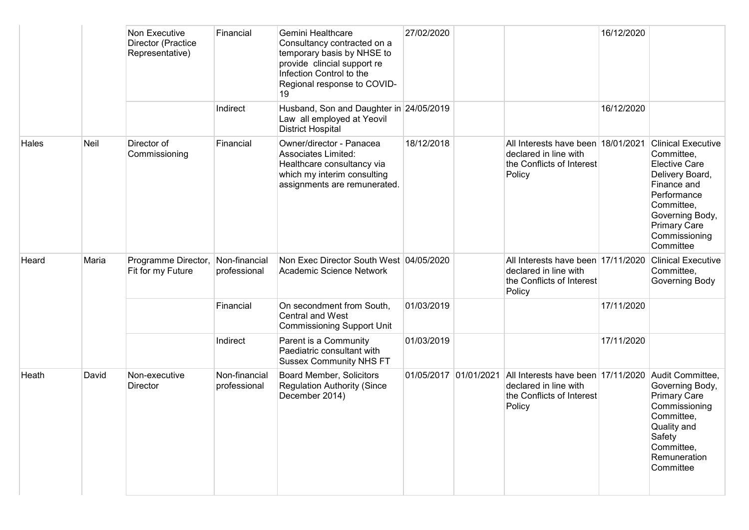|       |       | Non Executive<br>Director (Practice<br>Representative) | Financial                     | Gemini Healthcare<br>Consultancy contracted on a<br>temporary basis by NHSE to<br>provide clincial support re<br>Infection Control to the<br>Regional response to COVID-<br>19 | 27/02/2020            |                                                                                                    | 16/12/2020 |                                                                                                                                                                                                        |
|-------|-------|--------------------------------------------------------|-------------------------------|--------------------------------------------------------------------------------------------------------------------------------------------------------------------------------|-----------------------|----------------------------------------------------------------------------------------------------|------------|--------------------------------------------------------------------------------------------------------------------------------------------------------------------------------------------------------|
|       |       |                                                        | Indirect                      | Husband, Son and Daughter in 24/05/2019<br>Law all employed at Yeovil<br><b>District Hospital</b>                                                                              |                       |                                                                                                    | 16/12/2020 |                                                                                                                                                                                                        |
| Hales | Neil  | Director of<br>Commissioning                           | Financial                     | Owner/director - Panacea<br><b>Associates Limited:</b><br>Healthcare consultancy via<br>which my interim consulting<br>assignments are remunerated.                            | 18/12/2018            | All Interests have been 18/01/2021<br>declared in line with<br>the Conflicts of Interest<br>Policy |            | <b>Clinical Executive</b><br>Committee,<br><b>Elective Care</b><br>Delivery Board,<br>Finance and<br>Performance<br>Committee,<br>Governing Body,<br><b>Primary Care</b><br>Commissioning<br>Committee |
| Heard | Maria | Programme Director,<br>Fit for my Future               | Non-financial<br>professional | Non Exec Director South West 04/05/2020<br>Academic Science Network                                                                                                            |                       | All Interests have been 17/11/2020<br>declared in line with<br>the Conflicts of Interest<br>Policy |            | <b>Clinical Executive</b><br>Committee,<br>Governing Body                                                                                                                                              |
|       |       |                                                        | Financial                     | On secondment from South,<br><b>Central and West</b><br><b>Commissioning Support Unit</b>                                                                                      | 01/03/2019            |                                                                                                    | 17/11/2020 |                                                                                                                                                                                                        |
|       |       |                                                        | Indirect                      | Parent is a Community<br>Paediatric consultant with<br><b>Sussex Community NHS FT</b>                                                                                          | 01/03/2019            |                                                                                                    | 17/11/2020 |                                                                                                                                                                                                        |
| Heath | David | Non-executive<br>Director                              | Non-financial<br>professional | <b>Board Member, Solicitors</b><br><b>Regulation Authority (Since</b><br>December 2014)                                                                                        | 01/05/2017 01/01/2021 | All Interests have been 17/11/2020<br>declared in line with<br>the Conflicts of Interest<br>Policy |            | Audit Committee,<br>Governing Body,<br><b>Primary Care</b><br>Commissioning<br>Committee,<br>Quality and<br>Safety<br>Committee,<br>Remuneration<br>Committee                                          |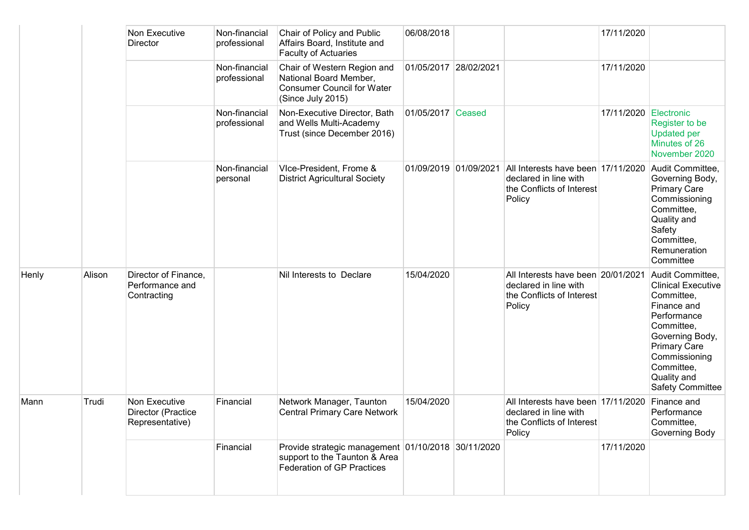|       |        | Non Executive<br><b>Director</b>                       | Non-financial<br>professional | Chair of Policy and Public<br>Affairs Board, Institute and<br><b>Faculty of Actuaries</b>                         | 06/08/2018            |                                                                                                    | 17/11/2020 |                                                                                                                                                                                                                            |
|-------|--------|--------------------------------------------------------|-------------------------------|-------------------------------------------------------------------------------------------------------------------|-----------------------|----------------------------------------------------------------------------------------------------|------------|----------------------------------------------------------------------------------------------------------------------------------------------------------------------------------------------------------------------------|
|       |        |                                                        | Non-financial<br>professional | Chair of Western Region and<br>National Board Member,<br><b>Consumer Council for Water</b><br>(Since July 2015)   | 01/05/2017 28/02/2021 |                                                                                                    | 17/11/2020 |                                                                                                                                                                                                                            |
|       |        |                                                        | Non-financial<br>professional | Non-Executive Director, Bath<br>and Wells Multi-Academy<br>Trust (since December 2016)                            | 01/05/2017 Ceased     |                                                                                                    | 17/11/2020 | Electronic<br>Register to be<br><b>Updated per</b><br>Minutes of 26<br>November 2020                                                                                                                                       |
|       |        |                                                        | Non-financial<br>personal     | Vice-President, Frome &<br><b>District Agricultural Society</b>                                                   | 01/09/2019 01/09/2021 | All Interests have been 17/11/2020<br>declared in line with<br>the Conflicts of Interest<br>Policy |            | Audit Committee,<br>Governing Body,<br><b>Primary Care</b><br>Commissioning<br>Committee,<br>Quality and<br>Safety<br>Committee,<br>Remuneration<br>Committee                                                              |
| Henly | Alison | Director of Finance,<br>Performance and<br>Contracting |                               | Nil Interests to Declare                                                                                          | 15/04/2020            | All Interests have been 20/01/2021<br>declared in line with<br>the Conflicts of Interest<br>Policy |            | Audit Committee,<br><b>Clinical Executive</b><br>Committee,<br>Finance and<br>Performance<br>Committee,<br>Governing Body,<br><b>Primary Care</b><br>Commissioning<br>Committee,<br>Quality and<br><b>Safety Committee</b> |
| Mann  | Trudi  | Non Executive<br>Director (Practice<br>Representative) | Financial                     | Network Manager, Taunton<br><b>Central Primary Care Network</b>                                                   | 15/04/2020            | All Interests have been 17/11/2020<br>declared in line with<br>the Conflicts of Interest<br>Policy |            | Finance and<br>Performance<br>Committee,<br>Governing Body                                                                                                                                                                 |
|       |        |                                                        | Financial                     | Provide strategic management 01/10/2018 30/11/2020<br>support to the Taunton & Area<br>Federation of GP Practices |                       |                                                                                                    | 17/11/2020 |                                                                                                                                                                                                                            |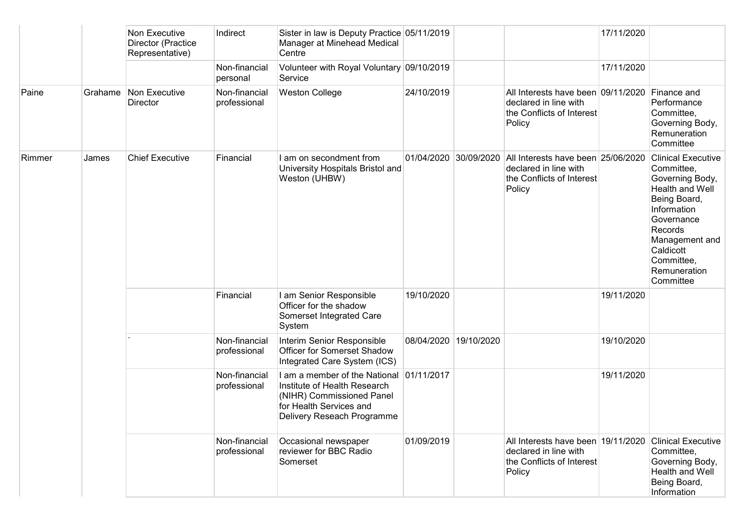|        |         | Non Executive<br>Director (Practice<br>Representative) | Indirect                      | Sister in law is Deputy Practice 05/11/2019<br>Manager at Minehead Medical<br>Centre                                                                           |                       |                       |                                                                                                    | 17/11/2020 |                                                                                                                                                                                                                 |
|--------|---------|--------------------------------------------------------|-------------------------------|----------------------------------------------------------------------------------------------------------------------------------------------------------------|-----------------------|-----------------------|----------------------------------------------------------------------------------------------------|------------|-----------------------------------------------------------------------------------------------------------------------------------------------------------------------------------------------------------------|
|        |         |                                                        | Non-financial<br>personal     | Volunteer with Royal Voluntary 09/10/2019<br>Service                                                                                                           |                       |                       |                                                                                                    | 17/11/2020 |                                                                                                                                                                                                                 |
| Paine  | Grahame | Non Executive<br>Director                              | Non-financial<br>professional | <b>Weston College</b>                                                                                                                                          | 24/10/2019            |                       | All Interests have been 09/11/2020<br>declared in line with<br>the Conflicts of Interest<br>Policy |            | Finance and<br>Performance<br>Committee,<br>Governing Body,<br>Remuneration<br>Committee                                                                                                                        |
| Rimmer | James   | <b>Chief Executive</b>                                 | Financial                     | I am on secondment from<br>University Hospitals Bristol and<br>Weston (UHBW)                                                                                   |                       | 01/04/2020 30/09/2020 | All Interests have been 25/06/2020<br>declared in line with<br>the Conflicts of Interest<br>Policy |            | <b>Clinical Executive</b><br>Committee,<br>Governing Body,<br>Health and Well<br>Being Board,<br>Information<br>Governance<br>Records<br>Management and<br>Caldicott<br>Committee,<br>Remuneration<br>Committee |
|        |         |                                                        | Financial                     | I am Senior Responsible<br>Officer for the shadow<br>Somerset Integrated Care<br>System                                                                        | 19/10/2020            |                       |                                                                                                    | 19/11/2020 |                                                                                                                                                                                                                 |
|        |         |                                                        | Non-financial<br>professional | Interim Senior Responsible<br>Officer for Somerset Shadow<br>Integrated Care System (ICS)                                                                      | 08/04/2020 19/10/2020 |                       |                                                                                                    | 19/10/2020 |                                                                                                                                                                                                                 |
|        |         |                                                        | Non-financial<br>professional | I am a member of the National 01/11/2017<br>Institute of Health Research<br>(NIHR) Commissioned Panel<br>for Health Services and<br>Delivery Reseach Programme |                       |                       |                                                                                                    | 19/11/2020 |                                                                                                                                                                                                                 |
|        |         |                                                        | Non-financial<br>professional | Occasional newspaper<br>reviewer for BBC Radio<br>Somerset                                                                                                     | 01/09/2019            |                       | All Interests have been 19/11/2020<br>declared in line with<br>the Conflicts of Interest<br>Policy |            | <b>Clinical Executive</b><br>Committee,<br>Governing Body,<br>Health and Well<br>Being Board,<br>Information                                                                                                    |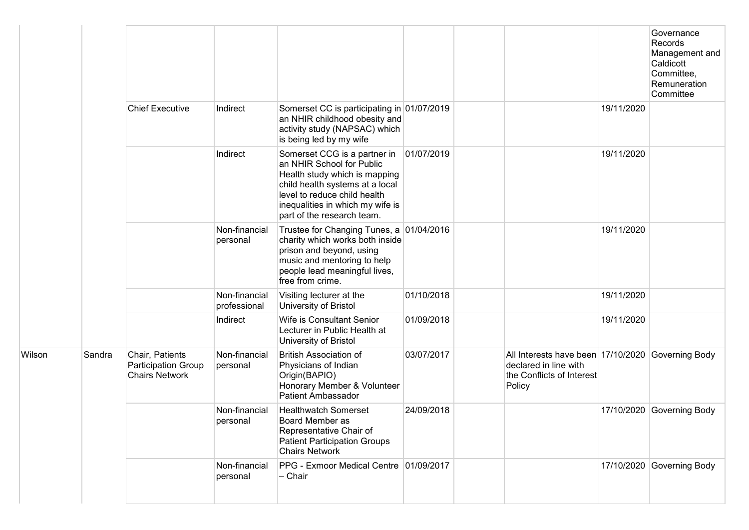|        |        |                                                                 |                               |                                                                                                                                                                                                                                 |            |                                                                                                                   |            | Governance<br>Records<br>Management and<br>Caldicott<br>Committee,<br>Remuneration<br>Committee |
|--------|--------|-----------------------------------------------------------------|-------------------------------|---------------------------------------------------------------------------------------------------------------------------------------------------------------------------------------------------------------------------------|------------|-------------------------------------------------------------------------------------------------------------------|------------|-------------------------------------------------------------------------------------------------|
|        |        | <b>Chief Executive</b>                                          | Indirect                      | Somerset CC is participating in 01/07/2019<br>an NHIR childhood obesity and<br>activity study (NAPSAC) which<br>is being led by my wife                                                                                         |            |                                                                                                                   | 19/11/2020 |                                                                                                 |
|        |        |                                                                 | Indirect                      | Somerset CCG is a partner in<br>an NHIR School for Public<br>Health study which is mapping<br>child health systems at a local<br>level to reduce child health<br>inequalities in which my wife is<br>part of the research team. | 01/07/2019 |                                                                                                                   | 19/11/2020 |                                                                                                 |
|        |        |                                                                 | Non-financial<br>personal     | Trustee for Changing Tunes, a 01/04/2016<br>charity which works both inside<br>prison and beyond, using<br>music and mentoring to help<br>people lead meaningful lives,<br>free from crime.                                     |            |                                                                                                                   | 19/11/2020 |                                                                                                 |
|        |        |                                                                 | Non-financial<br>professional | Visiting lecturer at the<br>University of Bristol                                                                                                                                                                               | 01/10/2018 |                                                                                                                   | 19/11/2020 |                                                                                                 |
|        |        |                                                                 | Indirect                      | Wife is Consultant Senior<br>Lecturer in Public Health at<br>University of Bristol                                                                                                                                              | 01/09/2018 |                                                                                                                   | 19/11/2020 |                                                                                                 |
| Wilson | Sandra | Chair, Patients<br>Participation Group<br><b>Chairs Network</b> | Non-financial<br>personal     | <b>British Association of</b><br>Physicians of Indian<br>Origin(BAPIO)<br>Honorary Member & Volunteer<br><b>Patient Ambassador</b>                                                                                              | 03/07/2017 | All Interests have been 17/10/2020 Governing Body<br>declared in line with<br>the Conflicts of Interest<br>Policy |            |                                                                                                 |
|        |        |                                                                 | Non-financial<br>personal     | <b>Healthwatch Somerset</b><br>Board Member as<br>Representative Chair of<br><b>Patient Participation Groups</b><br><b>Chairs Network</b>                                                                                       | 24/09/2018 |                                                                                                                   |            | 17/10/2020 Governing Body                                                                       |
|        |        |                                                                 | Non-financial<br>personal     | PPG - Exmoor Medical Centre 01/09/2017<br>$-$ Chair                                                                                                                                                                             |            |                                                                                                                   |            | 17/10/2020 Governing Body                                                                       |